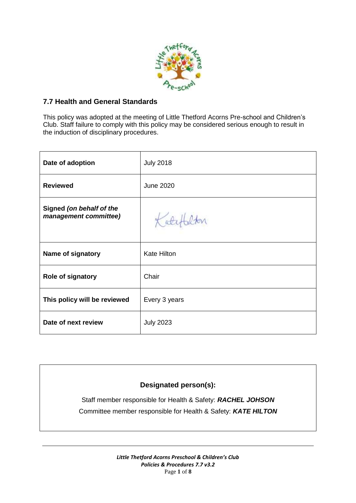

# **7.7 Health and General Standards**

This policy was adopted at the meeting of Little Thetford Acorns Pre-school and Children's Club. Staff failure to comply with this policy may be considered serious enough to result in the induction of disciplinary procedures.

| Date of adoption                                  | <b>July 2018</b>   |
|---------------------------------------------------|--------------------|
| <b>Reviewed</b>                                   | <b>June 2020</b>   |
| Signed (on behalf of the<br>management committee) | Katef              |
| Name of signatory                                 | <b>Kate Hilton</b> |
| Role of signatory                                 | Chair              |
| This policy will be reviewed                      | Every 3 years      |
| Date of next review                               | <b>July 2023</b>   |

# **Designated person(s):**

Staff member responsible for Health & Safety: *RACHEL JOHSON* Committee member responsible for Health & Safety: *KATE HILTON*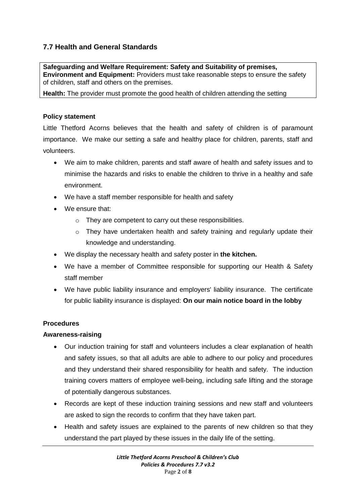# **7.7 Health and General Standards**

**Safeguarding and Welfare Requirement: Safety and Suitability of premises, Environment and Equipment:** Providers must take reasonable steps to ensure the safety of children, staff and others on the premises.

**Health:** The provider must promote the good health of children attending the setting

### **Policy statement**

Little Thetford Acorns believes that the health and safety of children is of paramount importance. We make our setting a safe and healthy place for children, parents, staff and volunteers.

- We aim to make children, parents and staff aware of health and safety issues and to minimise the hazards and risks to enable the children to thrive in a healthy and safe environment.
- We have a staff member responsible for health and safety
- We ensure that:
	- o They are competent to carry out these responsibilities.
	- o They have undertaken health and safety training and regularly update their knowledge and understanding.
- We display the necessary health and safety poster in **the kitchen.**
- We have a member of Committee responsible for supporting our Health & Safety staff member
- We have public liability insurance and employers' liability insurance. The certificate for public liability insurance is displayed: **On our main notice board in the lobby**

### **Procedures**

### **Awareness-raising**

- Our induction training for staff and volunteers includes a clear explanation of health and safety issues, so that all adults are able to adhere to our policy and procedures and they understand their shared responsibility for health and safety. The induction training covers matters of employee well-being, including safe lifting and the storage of potentially dangerous substances.
- Records are kept of these induction training sessions and new staff and volunteers are asked to sign the records to confirm that they have taken part.
- Health and safety issues are explained to the parents of new children so that they understand the part played by these issues in the daily life of the setting.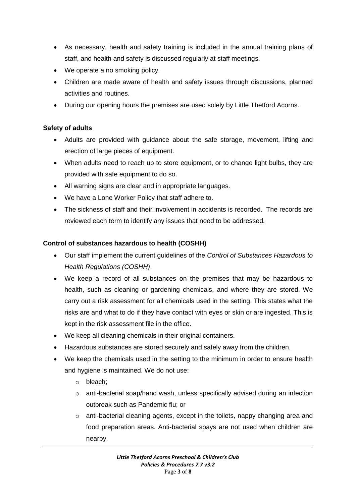- As necessary, health and safety training is included in the annual training plans of staff, and health and safety is discussed regularly at staff meetings.
- We operate a no smoking policy.
- Children are made aware of health and safety issues through discussions, planned activities and routines.
- During our opening hours the premises are used solely by Little Thetford Acorns.

# **Safety of adults**

- Adults are provided with guidance about the safe storage, movement, lifting and erection of large pieces of equipment.
- When adults need to reach up to store equipment, or to change light bulbs, they are provided with safe equipment to do so.
- All warning signs are clear and in appropriate languages.
- We have a Lone Worker Policy that staff adhere to.
- The sickness of staff and their involvement in accidents is recorded. The records are reviewed each term to identify any issues that need to be addressed.

# **Control of substances hazardous to health (COSHH)**

- Our staff implement the current guidelines of the *Control of Substances Hazardous to Health Regulations (COSHH)*.
- We keep a record of all substances on the premises that may be hazardous to health, such as cleaning or gardening chemicals, and where they are stored. We carry out a risk assessment for all chemicals used in the setting. This states what the risks are and what to do if they have contact with eyes or skin or are ingested. This is kept in the risk assessment file in the office.
- We keep all cleaning chemicals in their original containers.
- Hazardous substances are stored securely and safely away from the children.
- We keep the chemicals used in the setting to the minimum in order to ensure health and hygiene is maintained. We do not use:
	- o bleach;
	- o anti-bacterial soap/hand wash, unless specifically advised during an infection outbreak such as Pandemic flu; or
	- $\circ$  anti-bacterial cleaning agents, except in the toilets, nappy changing area and food preparation areas. Anti-bacterial spays are not used when children are nearby.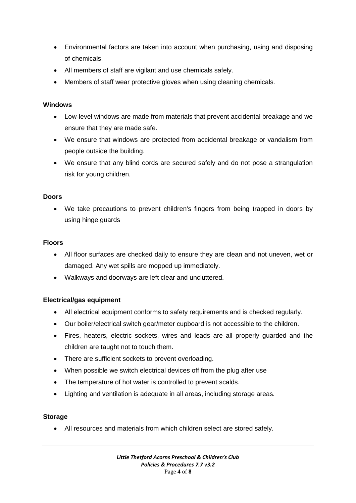- Environmental factors are taken into account when purchasing, using and disposing of chemicals.
- All members of staff are vigilant and use chemicals safely.
- Members of staff wear protective gloves when using cleaning chemicals.

#### **Windows**

- Low-level windows are made from materials that prevent accidental breakage and we ensure that they are made safe.
- We ensure that windows are protected from accidental breakage or vandalism from people outside the building.
- We ensure that any blind cords are secured safely and do not pose a strangulation risk for young children.

#### **Doors**

 We take precautions to prevent children's fingers from being trapped in doors by using hinge guards

#### **Floors**

- All floor surfaces are checked daily to ensure they are clean and not uneven, wet or damaged. Any wet spills are mopped up immediately.
- Walkways and doorways are left clear and uncluttered.

### **Electrical/gas equipment**

- All electrical equipment conforms to safety requirements and is checked regularly.
- Our boiler/electrical switch gear/meter cupboard is not accessible to the children.
- Fires, heaters, electric sockets, wires and leads are all properly guarded and the children are taught not to touch them.
- There are sufficient sockets to prevent overloading.
- When possible we switch electrical devices off from the plug after use
- The temperature of hot water is controlled to prevent scalds.
- Lighting and ventilation is adequate in all areas, including storage areas.

### **Storage**

All resources and materials from which children select are stored safely.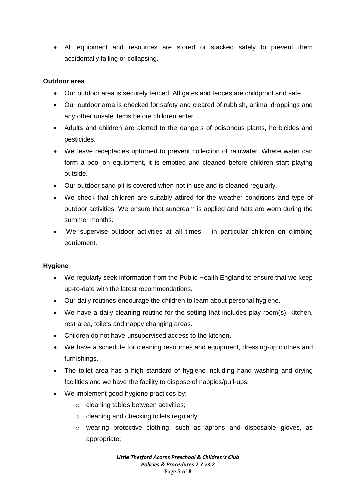All equipment and resources are stored or stacked safely to prevent them accidentally falling or collapsing.

### **Outdoor area**

- Our outdoor area is securely fenced. All gates and fences are childproof and safe.
- Our outdoor area is checked for safety and cleared of rubbish, animal droppings and any other unsafe items before children enter.
- Adults and children are alerted to the dangers of poisonous plants, herbicides and pesticides.
- We leave receptacles upturned to prevent collection of rainwater. Where water can form a pool on equipment, it is emptied and cleaned before children start playing outside.
- Our outdoor sand pit is covered when not in use and is cleaned regularly.
- We check that children are suitably attired for the weather conditions and type of outdoor activities. We ensure that suncream is applied and hats are worn during the summer months.
- We supervise outdoor activities at all times in particular children on climbing equipment.

### **Hygiene**

- We regularly seek information from the Public Health England to ensure that we keep up-to-date with the latest recommendations.
- Our daily routines encourage the children to learn about personal hygiene.
- We have a daily cleaning routine for the setting that includes play room(s), kitchen, rest area, toilets and nappy changing areas.
- Children do not have unsupervised access to the kitchen.
- We have a schedule for cleaning resources and equipment, dressing-up clothes and furnishings.
- The toilet area has a high standard of hygiene including hand washing and drying facilities and we have the facility to dispose of nappies/pull-ups.
- We implement good hygiene practices by:
	- o cleaning tables between activities;
	- o cleaning and checking toilets regularly;
	- o wearing protective clothing, such as aprons and disposable gloves, as appropriate;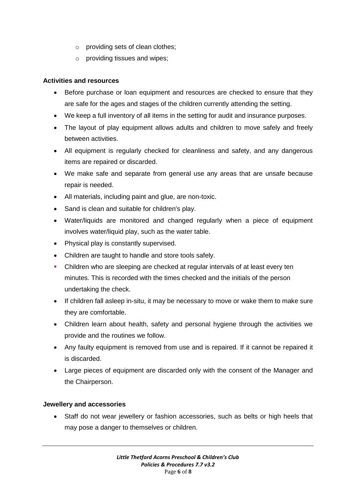- o providing sets of clean clothes;
- o providing tissues and wipes;

#### **Activities and resources**

- Before purchase or loan equipment and resources are checked to ensure that they are safe for the ages and stages of the children currently attending the setting.
- We keep a full inventory of all items in the setting for audit and insurance purposes.
- The layout of play equipment allows adults and children to move safely and freely between activities.
- All equipment is regularly checked for cleanliness and safety, and any dangerous items are repaired or discarded.
- We make safe and separate from general use any areas that are unsafe because repair is needed.
- All materials, including paint and glue, are non-toxic.
- Sand is clean and suitable for children's play.
- Water/liquids are monitored and changed regularly when a piece of equipment involves water/liquid play, such as the water table.
- Physical play is constantly supervised.
- Children are taught to handle and store tools safely.
- Children who are sleeping are checked at regular intervals of at least every ten minutes. This is recorded with the times checked and the initials of the person undertaking the check.
- If children fall asleep in-situ, it may be necessary to move or wake them to make sure they are comfortable.
- Children learn about health, safety and personal hygiene through the activities we provide and the routines we follow.
- Any faulty equipment is removed from use and is repaired. If it cannot be repaired it is discarded.
- Large pieces of equipment are discarded only with the consent of the Manager and the Chairperson.

#### **Jewellery and accessories**

• Staff do not wear jewellery or fashion accessories, such as belts or high heels that may pose a danger to themselves or children.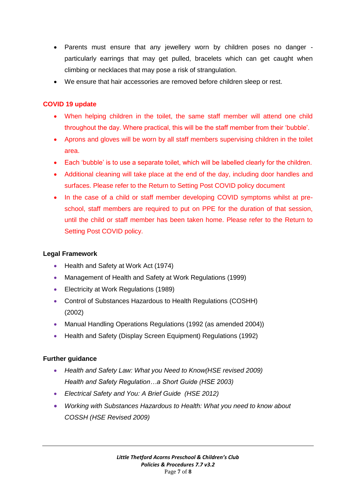- Parents must ensure that any jewellery worn by children poses no danger particularly earrings that may get pulled, bracelets which can get caught when climbing or necklaces that may pose a risk of strangulation.
- We ensure that hair accessories are removed before children sleep or rest.

# **COVID 19 update**

- When helping children in the toilet, the same staff member will attend one child throughout the day. Where practical, this will be the staff member from their 'bubble'.
- Aprons and gloves will be worn by all staff members supervising children in the toilet area.
- Each 'bubble' is to use a separate toilet, which will be labelled clearly for the children.
- Additional cleaning will take place at the end of the day, including door handles and surfaces. Please refer to the Return to Setting Post COVID policy document
- In the case of a child or staff member developing COVID symptoms whilst at preschool, staff members are required to put on PPE for the duration of that session, until the child or staff member has been taken home. Please refer to the Return to Setting Post COVID policy.

## **Legal Framework**

- Health and Safety at Work Act (1974)
- Management of Health and Safety at Work Regulations (1999)
- Electricity at Work Regulations (1989)
- Control of Substances Hazardous to Health Regulations (COSHH) (2002)
- Manual Handling Operations Regulations (1992 (as amended 2004))
- Health and Safety (Display Screen Equipment) Regulations (1992)

# **Further guidance**

- *Health and Safety Law: What you Need to Know(HSE revised 2009) Health and Safety Regulation…a Short Guide (HSE 2003)*
- *Electrical Safety and You: A Brief Guide (HSE 2012)*
- *Working with Substances Hazardous to Health: What you need to know about COSSH (HSE Revised 2009)*